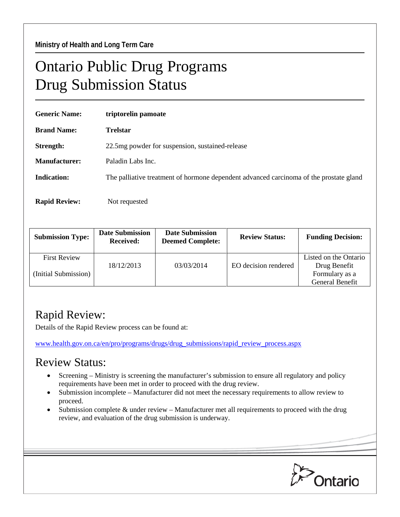## Ontario Public Drug Programs Drug Submission Status

| <b>Generic Name:</b> | triptorelin pamoate                                                                    |  |  |  |
|----------------------|----------------------------------------------------------------------------------------|--|--|--|
| <b>Brand Name:</b>   | <b>Trelstar</b>                                                                        |  |  |  |
| Strength:            | 22.5 mg powder for suspension, sustained-release                                       |  |  |  |
| Manufacturer:        | Paladin Labs Inc.                                                                      |  |  |  |
| <b>Indication:</b>   | The palliative treatment of hormone dependent advanced carcinoma of the prostate gland |  |  |  |
| <b>Rapid Review:</b> | Not requested                                                                          |  |  |  |

| <b>Submission Type:</b> | <b>Date Submission</b><br><b>Received:</b> | <b>Date Submission</b><br><b>Deemed Complete:</b> | <b>Review Status:</b> | <b>Funding Decision:</b>              |
|-------------------------|--------------------------------------------|---------------------------------------------------|-----------------------|---------------------------------------|
| <b>First Review</b>     | 18/12/2013                                 | 03/03/2014                                        | EO decision rendered  | Listed on the Ontario<br>Drug Benefit |
| (Initial Submission)    |                                            |                                                   |                       | Formulary as a<br>General Benefit     |

## Rapid Review:

Details of the Rapid Review process can be found at:

[www.health.gov.on.ca/en/pro/programs/drugs/drug\\_submissions/rapid\\_review\\_process.aspx](http://www.health.gov.on.ca/en/pro/programs/drugs/drug_submissions/rapid_review_process.aspx)

## Review Status:

- Screening Ministry is screening the manufacturer's submission to ensure all regulatory and policy requirements have been met in order to proceed with the drug review.
- Submission incomplete Manufacturer did not meet the necessary requirements to allow review to proceed.
- Submission complete  $&$  under review Manufacturer met all requirements to proceed with the drug review, and evaluation of the drug submission is underway.